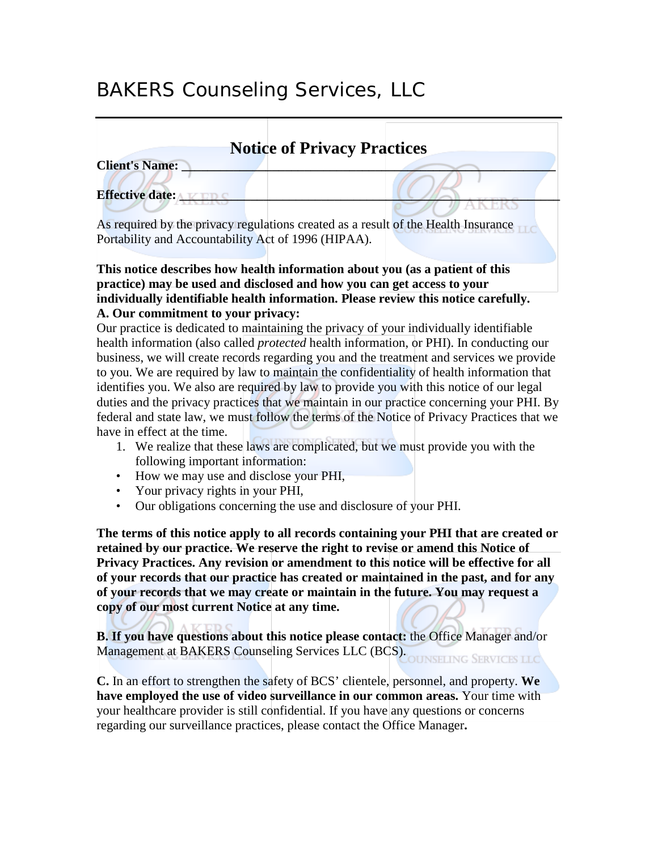# BAKERS Counseling Services, LLC

| <b>Notice of Privacy Practices</b>                                                 |
|------------------------------------------------------------------------------------|
| <b>Client's Name:</b>                                                              |
| <b>Effective date:</b>                                                             |
|                                                                                    |
| As required by the privacy regulations created as a result of the Health Insurance |
| Portability and Accountability Act of 1996 (HIPAA).                                |
|                                                                                    |
| This notice describes how health information about you (as a patient of this       |
| practice) may be used and disclosed and how you can get access to your             |

## **individually identifiable health information. Please review this notice carefully. A. Our commitment to your privacy:**

Our practice is dedicated to maintaining the privacy of your individually identifiable health information (also called *protected* health information, or PHI). In conducting our business, we will create records regarding you and the treatment and services we provide to you. We are required by law to maintain the confidentiality of health information that identifies you. We also are required by law to provide you with this notice of our legal duties and the privacy practices that we maintain in our practice concerning your PHI. By federal and state law, we must follow the terms of the Notice of Privacy Practices that we have in effect at the time.

- 1. We realize that these laws are complicated, but we must provide you with the following important information:
- How we may use and disclose your PHI,
- Your privacy rights in your PHI,
- Our obligations concerning the use and disclosure of your PHI.

**The terms of this notice apply to all records containing your PHI that are created or retained by our practice. We reserve the right to revise or amend this Notice of Privacy Practices. Any revision or amendment to this notice will be effective for all of your records that our practice has created or maintained in the past, and for any of your records that we may create or maintain in the future. You may request a copy of our most current Notice at any time.**

**B. If you have questions about this notice please contact:** the Office Manager and/or Management at BAKERS Counseling Services LLC (BCS).

**C.** In an effort to strengthen the safety of BCS' clientele, personnel, and property. **We have employed the use of video surveillance in our common areas.** Your time with your healthcare provider is still confidential. If you have any questions or concerns regarding our surveillance practices, please contact the Office Manager**.**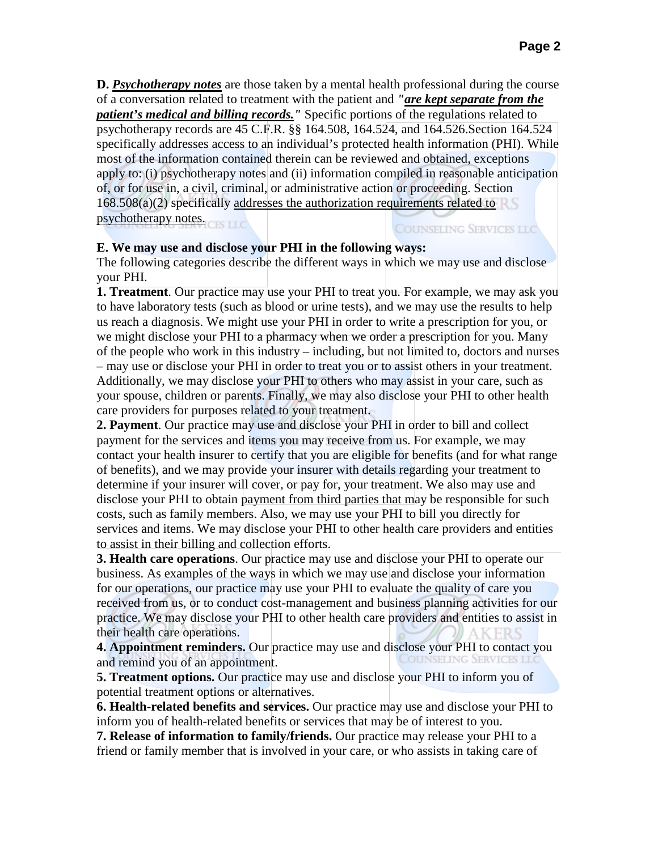**D.** *Psychotherapy notes* are those taken by a mental health professional during the course of a conversation related to treatment with the patient and *"are kept separate from the patient's medical and billing records."* Specific portions of the regulations related to psychotherapy records are 45 C.F.R. §§ 164.508, 164.524, and 164.526.Section 164.524 specifically addresses access to an individual's protected health information (PHI). While most of the information contained therein can be reviewed and obtained, exceptions apply to: (i) psychotherapy notes and (ii) information compiled in reasonable anticipation of, or for use in, a civil, criminal, or administrative action or proceeding. Section  $168.508(a)(2)$  specifically addresses the authorization requirements related to psychotherapy notes. **COUNSELING SERVICES LLC** 

#### **E. We may use and disclose your PHI in the following ways:**

The following categories describe the different ways in which we may use and disclose your PHI.

**1. Treatment**. Our practice may use your PHI to treat you. For example, we may ask you to have laboratory tests (such as blood or urine tests), and we may use the results to help us reach a diagnosis. We might use your PHI in order to write a prescription for you, or we might disclose your PHI to a pharmacy when we order a prescription for you. Many of the people who work in this industry – including, but not limited to, doctors and nurses – may use or disclose your PHI in order to treat you or to assist others in your treatment. Additionally, we may disclose your PHI to others who may assist in your care, such as your spouse, children or parents. Finally, we may also disclose your PHI to other health care providers for purposes related to your treatment.

**2. Payment**. Our practice may use and disclose your PHI in order to bill and collect payment for the services and items you may receive from us. For example, we may contact your health insurer to certify that you are eligible for benefits (and for what range of benefits), and we may provide your insurer with details regarding your treatment to determine if your insurer will cover, or pay for, your treatment. We also may use and disclose your PHI to obtain payment from third parties that may be responsible for such costs, such as family members. Also, we may use your PHI to bill you directly for services and items. We may disclose your PHI to other health care providers and entities to assist in their billing and collection efforts.

**3. Health care operations**. Our practice may use and disclose your PHI to operate our business. As examples of the ways in which we may use and disclose your information for our operations, our practice may use your PHI to evaluate the quality of care you received from us, or to conduct cost-management and business planning activities for our practice. We may disclose your PHI to other health care providers and entities to assist in their health care operations.

**4. Appointment reminders.** Our practice may use and disclose your PHI to contact you and remind you of an appointment and remind you of an appointment.

**5. Treatment options.** Our practice may use and disclose your PHI to inform you of potential treatment options or alternatives.

**6. Health-related benefits and services.** Our practice may use and disclose your PHI to inform you of health-related benefits or services that may be of interest to you.

**7. Release of information to family/friends.** Our practice may release your PHI to a friend or family member that is involved in your care, or who assists in taking care of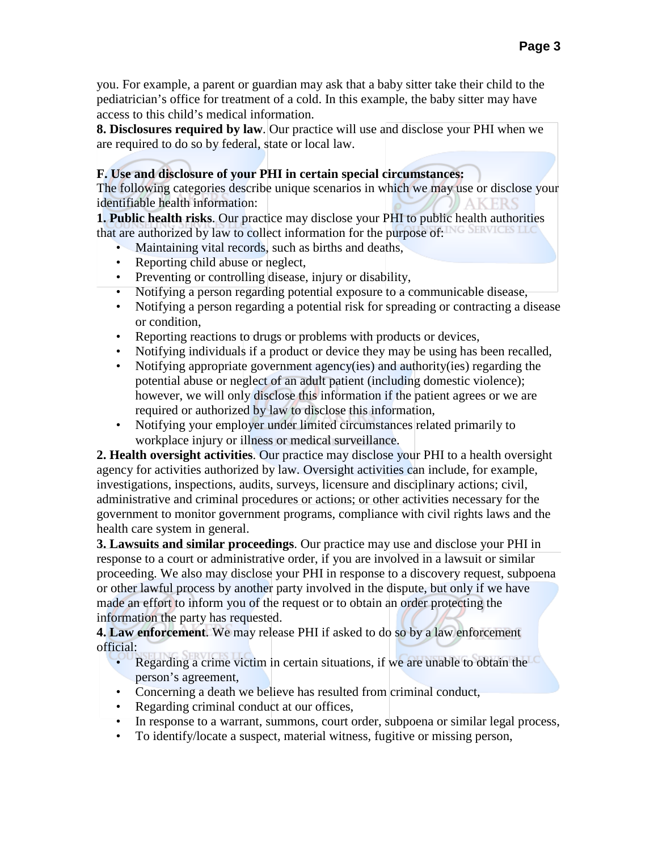you. For example, a parent or guardian may ask that a baby sitter take their child to the pediatrician's office for treatment of a cold. In this example, the baby sitter may have access to this child's medical information.

**8. Disclosures required by law**. Our practice will use and disclose your PHI when we are required to do so by federal, state or local law.

## **F. Use and disclosure of your PHI in certain special circumstances:**

The following categories describe unique scenarios in which we may use or disclose your identifiable health information:

**1. Public health risks**. Our practice may disclose your PHI to public health authorities that are authorized by law to collect information for the purpose of: NG SERVICES LLC

- Maintaining vital records, such as births and deaths,
- Reporting child abuse or neglect,
- Preventing or controlling disease, injury or disability,
- Notifying a person regarding potential exposure to a communicable disease,
- Notifying a person regarding a potential risk for spreading or contracting a disease or condition,
- Reporting reactions to drugs or problems with products or devices,
- Notifying individuals if a product or device they may be using has been recalled,
- Notifying appropriate government agency(ies) and authority(ies) regarding the potential abuse or neglect of an adult patient (including domestic violence); however, we will only disclose this information if the patient agrees or we are required or authorized by law to disclose this information,
- Notifying your employer under limited circumstances related primarily to workplace injury or illness or medical surveillance.

**2. Health oversight activities**. Our practice may disclose your PHI to a health oversight agency for activities authorized by law. Oversight activities can include, for example, investigations, inspections, audits, surveys, licensure and disciplinary actions; civil, administrative and criminal procedures or actions; or other activities necessary for the government to monitor government programs, compliance with civil rights laws and the health care system in general.

**3. Lawsuits and similar proceedings**. Our practice may use and disclose your PHI in response to a court or administrative order, if you are involved in a lawsuit or similar proceeding. We also may disclose your PHI in response to a discovery request, subpoena or other lawful process by another party involved in the dispute, but only if we have made an effort to inform you of the request or to obtain an order protecting the information the party has requested.

**4. Law enforcement**. We may release PHI if asked to do so by a law enforcement official:

- Regarding a crime victim in certain situations, if we are unable to obtain the person's agreement,
- Concerning a death we believe has resulted from criminal conduct,
- Regarding criminal conduct at our offices,
- In response to a warrant, summons, court order, subpoena or similar legal process,
- To identify/locate a suspect, material witness, fugitive or missing person,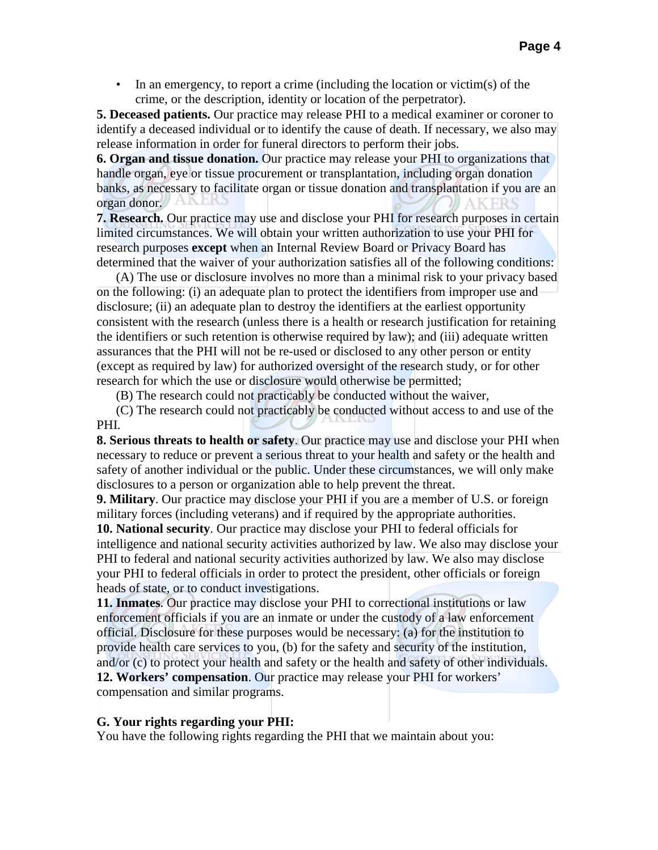• In an emergency, to report a crime (including the location or victim(s) of the crime, or the description, identity or location of the perpetrator).

**5. Deceased patients.** Our practice may release PHI to a medical examiner or coroner to identify a deceased individual or to identify the cause of death. If necessary, we also may release information in order for funeral directors to perform their jobs.

**6. Organ and tissue donation.** Our practice may release your PHI to organizations that handle organ, eye or tissue procurement or transplantation, including organ donation banks, as necessary to facilitate organ or tissue donation and transplantation if you are an organ donor.

**7. Research.** Our practice may use and disclose your PHI for research purposes in certain limited circumstances. We will obtain your written authorization to use your PHI for research purposes **except** when an Internal Review Board or Privacy Board has determined that the waiver of your authorization satisfies all of the following conditions:

(A) The use or disclosure involves no more than a minimal risk to your privacy based on the following: (i) an adequate plan to protect the identifiers from improper use and disclosure; (ii) an adequate plan to destroy the identifiers at the earliest opportunity consistent with the research (unless there is a health or research justification for retaining the identifiers or such retention is otherwise required by law); and (iii) adequate written assurances that the PHI will not be re-used or disclosed to any other person or entity (except as required by law) for authorized oversight of the research study, or for other research for which the use or disclosure would otherwise be permitted;

(B) The research could not practicably be conducted without the waiver,

(C) The research could not practicably be conducted without access to and use of the PHI.

**8. Serious threats to health or safety**. Our practice may use and disclose your PHI when necessary to reduce or prevent a serious threat to your health and safety or the health and safety of another individual or the public. Under these circumstances, we will only make disclosures to a person or organization able to help prevent the threat.

**9. Military**. Our practice may disclose your PHI if you are a member of U.S. or foreign military forces (including veterans) and if required by the appropriate authorities. **10. National security**. Our practice may disclose your PHI to federal officials for intelligence and national security activities authorized by law. We also may disclose your PHI to federal and national security activities authorized by law. We also may disclose

your PHI to federal officials in order to protect the president, other officials or foreign heads of state, or to conduct investigations.

**11. Inmates**. Our practice may disclose your PHI to correctional institutions or law enforcement officials if you are an inmate or under the custody of a law enforcement official. Disclosure for these purposes would be necessary: (a) for the institution to provide health care services to you, (b) for the safety and security of the institution, and/or (c) to protect your health and safety or the health and safety of other individuals. **12. Workers' compensation**. Our practice may release your PHI for workers' compensation and similar programs.

### **G. Your rights regarding your PHI:**

You have the following rights regarding the PHI that we maintain about you: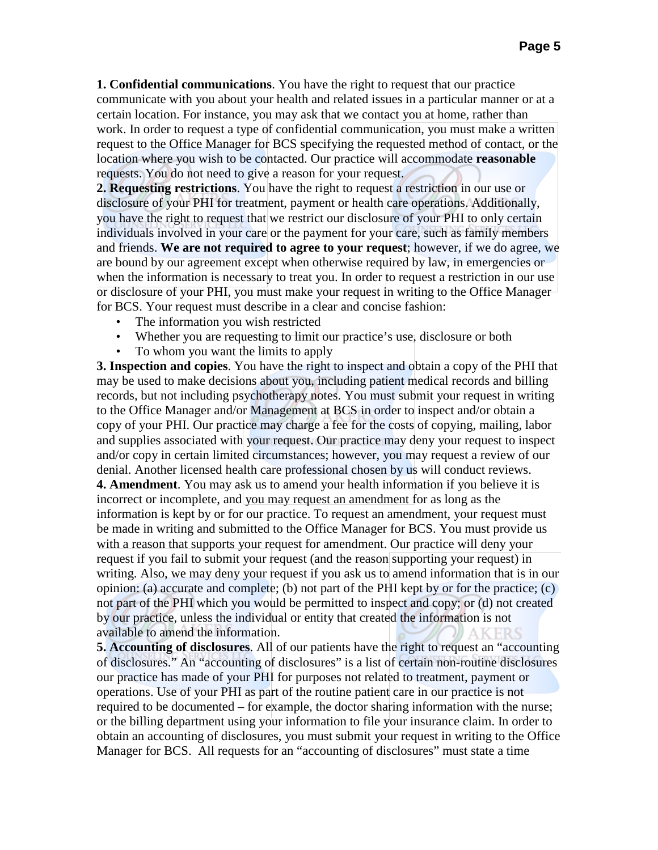**1. Confidential communications**. You have the right to request that our practice communicate with you about your health and related issues in a particular manner or at a certain location. For instance, you may ask that we contact you at home, rather than work. In order to request a type of confidential communication, you must make a written request to the Office Manager for BCS specifying the requested method of contact, or the location where you wish to be contacted. Our practice will accommodate **reasonable** requests. You do not need to give a reason for your request.

**2. Requesting restrictions**. You have the right to request a restriction in our use or disclosure of your PHI for treatment, payment or health care operations. Additionally, you have the right to request that we restrict our disclosure of your PHI to only certain individuals involved in your care or the payment for your care, such as family members and friends. **We are not required to agree to your request**; however, if we do agree, we are bound by our agreement except when otherwise required by law, in emergencies or when the information is necessary to treat you. In order to request a restriction in our use or disclosure of your PHI, you must make your request in writing to the Office Manager for BCS. Your request must describe in a clear and concise fashion:

- The information you wish restricted
- Whether you are requesting to limit our practice's use, disclosure or both
- To whom you want the limits to apply

**3. Inspection and copies**. You have the right to inspect and obtain a copy of the PHI that may be used to make decisions about you, including patient medical records and billing records, but not including psychotherapy notes. You must submit your request in writing to the Office Manager and/or Management at BCS in order to inspect and/or obtain a copy of your PHI. Our practice may charge a fee for the costs of copying, mailing, labor and supplies associated with your request. Our practice may deny your request to inspect and/or copy in certain limited circumstances; however, you may request a review of our denial. Another licensed health care professional chosen by us will conduct reviews.

**4. Amendment**. You may ask us to amend your health information if you believe it is incorrect or incomplete, and you may request an amendment for as long as the information is kept by or for our practice. To request an amendment, your request must be made in writing and submitted to the Office Manager for BCS. You must provide us with a reason that supports your request for amendment. Our practice will deny your request if you fail to submit your request (and the reason supporting your request) in writing. Also, we may deny your request if you ask us to amend information that is in our opinion: (a) accurate and complete; (b) not part of the PHI kept by or for the practice; (c) not part of the PHI which you would be permitted to inspect and copy; or (d) not created by our practice, unless the individual or entity that created the information is not available to amend the information. **AKERS** 

**5. Accounting of disclosures**. All of our patients have the right to request an "accounting of disclosures." An "accounting of disclosures" is a list of certain non-routine disclosures our practice has made of your PHI for purposes not related to treatment, payment or operations. Use of your PHI as part of the routine patient care in our practice is not required to be documented – for example, the doctor sharing information with the nurse; or the billing department using your information to file your insurance claim. In order to obtain an accounting of disclosures, you must submit your request in writing to the Office Manager for BCS. All requests for an "accounting of disclosures" must state a time